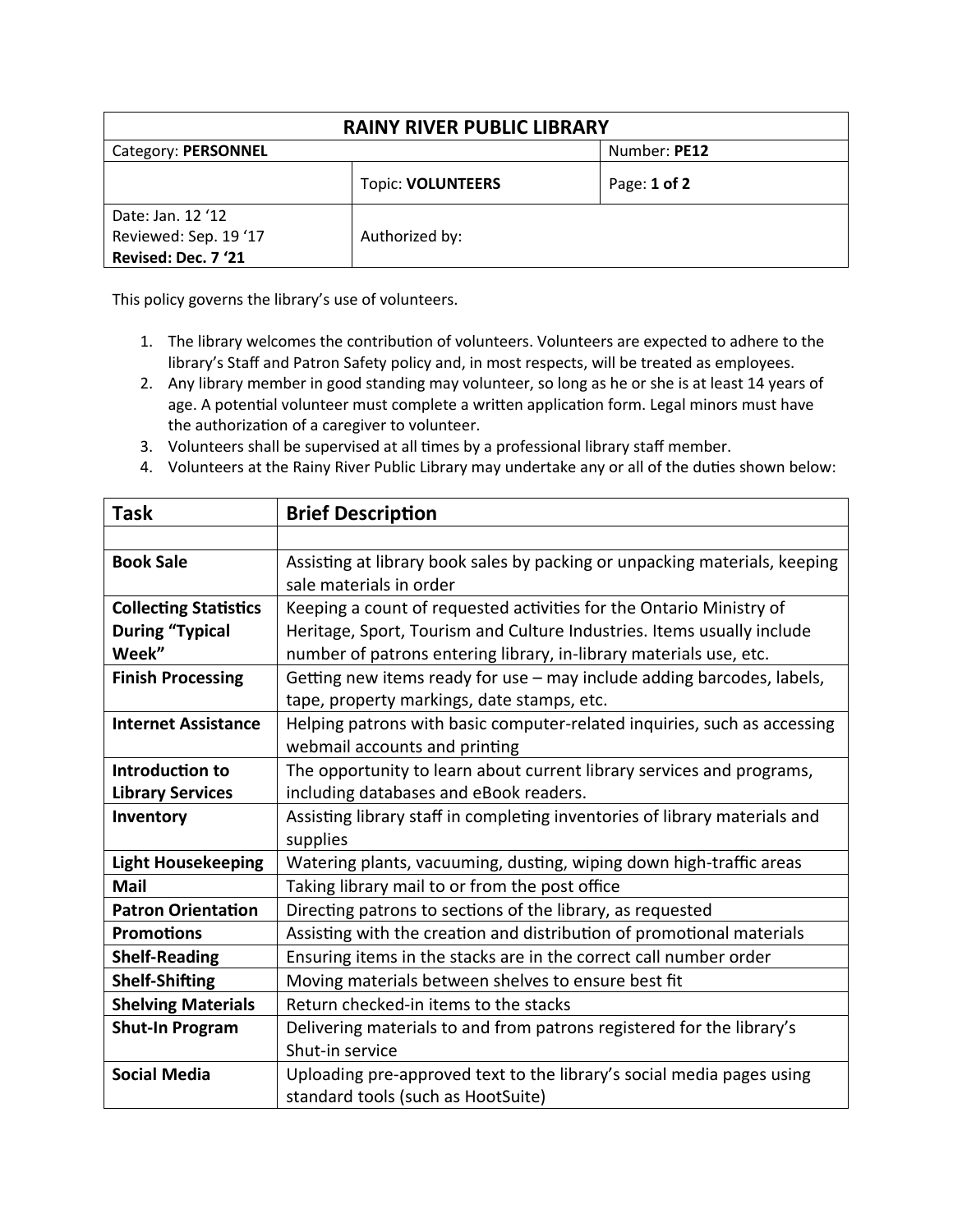| <b>RAINY RIVER PUBLIC LIBRARY</b>                                 |                          |              |  |  |
|-------------------------------------------------------------------|--------------------------|--------------|--|--|
| Category: PERSONNEL                                               |                          | Number: PE12 |  |  |
|                                                                   | <b>Topic: VOLUNTEERS</b> | Page: 1 of 2 |  |  |
| Date: Jan. 12 '12<br>Reviewed: Sep. 19 '17<br>Revised: Dec. 7 '21 | Authorized by:           |              |  |  |

This policy governs the library's use of volunteers.

- 1. The library welcomes the contribution of volunteers. Volunteers are expected to adhere to the library's Staff and Patron Safety policy and, in most respects, will be treated as employees.
- 2. Any library member in good standing may volunteer, so long as he or she is at least 14 years of age. A potential volunteer must complete a written application form. Legal minors must have the authorization of a caregiver to volunteer.
- 3. Volunteers shall be supervised at all times by a professional library staff member.
- 4. Volunteers at the Rainy River Public Library may undertake any or all of the duties shown below:

| <b>Task</b>                  | <b>Brief Description</b>                                                   |
|------------------------------|----------------------------------------------------------------------------|
|                              |                                                                            |
| <b>Book Sale</b>             | Assisting at library book sales by packing or unpacking materials, keeping |
|                              | sale materials in order                                                    |
| <b>Collecting Statistics</b> | Keeping a count of requested activities for the Ontario Ministry of        |
| <b>During "Typical</b>       | Heritage, Sport, Tourism and Culture Industries. Items usually include     |
| Week"                        | number of patrons entering library, in-library materials use, etc.         |
| <b>Finish Processing</b>     | Getting new items ready for use - may include adding barcodes, labels,     |
|                              | tape, property markings, date stamps, etc.                                 |
| <b>Internet Assistance</b>   | Helping patrons with basic computer-related inquiries, such as accessing   |
|                              | webmail accounts and printing                                              |
| Introduction to              | The opportunity to learn about current library services and programs,      |
| <b>Library Services</b>      | including databases and eBook readers.                                     |
| Inventory                    | Assisting library staff in completing inventories of library materials and |
|                              | supplies                                                                   |
| <b>Light Housekeeping</b>    | Watering plants, vacuuming, dusting, wiping down high-traffic areas        |
| <b>Mail</b>                  | Taking library mail to or from the post office                             |
| <b>Patron Orientation</b>    | Directing patrons to sections of the library, as requested                 |
| <b>Promotions</b>            | Assisting with the creation and distribution of promotional materials      |
| <b>Shelf-Reading</b>         | Ensuring items in the stacks are in the correct call number order          |
| <b>Shelf-Shifting</b>        | Moving materials between shelves to ensure best fit                        |
| <b>Shelving Materials</b>    | Return checked-in items to the stacks                                      |
| <b>Shut-In Program</b>       | Delivering materials to and from patrons registered for the library's      |
|                              | Shut-in service                                                            |
| <b>Social Media</b>          | Uploading pre-approved text to the library's social media pages using      |
|                              | standard tools (such as HootSuite)                                         |